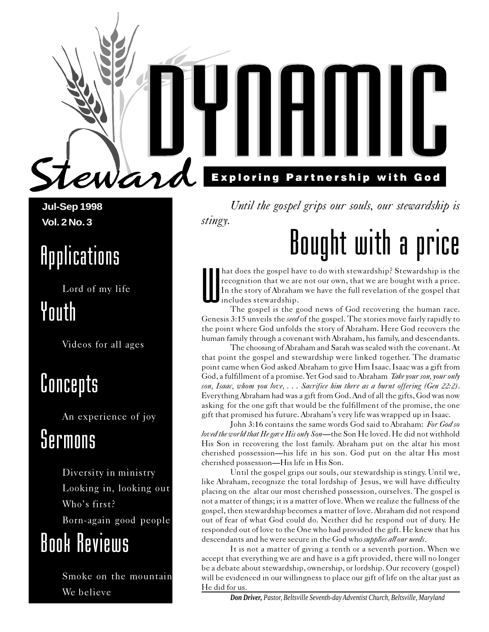**Jul-Sep 1998 Vol. 2 No. 3**

## **Applications**

Lord of my life

eward

## Youth

Videos for all ages

## **Concepts**

An experience of joy

## Sermons

Diversity in ministry Looking in, looking out Who's first? Born-again good people

## Book Reviews

Smoke on the mountain

# **Exploring Partnership with God**

Until the gospel grips our souls, our stewardship is stingy.

# Bought with a price

hat does the gospel have to do with stewardship? Stewardship is the recognition that we are not our own, that we are bought with a price.<br>In the story of Abraham we have the full revelation of the gospel that includes stew recognition that we are not our own, that we are bought with a price. In the story of Abraham we have the full revelation of the gospel that includes stewardship.

The gospel is the good news of God recovering the human race. Genesis 3:15 unveils the *seed* of the gospel. The stories move fairly rapidly to the point where God unfolds the story of Abraham. Here God recovers the human family through a covenant with Abraham, his family, and descendants.

The choosing of Abraham and Sarah was sealed with the covenant. At that point the gospel and stewardship were linked together. The dramatic point came when God asked Abraham to give Him Isaac. Isaac was a gift from God, a fulfillment of a promise. Yet God said to Abraham *Take your son, your only* son, Isaac, whom you love, ... Sacrifice him there as a burnt offering (Gen 22:2). Everything Abraham had was a gift from God. And of all the gifts, God was now asking for the one gift that would be the fulfillment of the promise, the one gift that promised his future. Abraham's very life was wrapped up in Isaac.

John 3:16 contains the same words God said to Abraham: For God so loved the world that He gave His only Son-the Son He loved. He did not withhold His Son in recovering the lost family. Abraham put on the altar his most cherished possession—his life in his son. God put on the altar His most cherished possession—His life in His Son.

Until the gospel grips our souls, our stewardship is stingy. Until we, like Abraham, recognize the total lordship of Jesus, we will have difficulty placing on the altar our most cherished possession, ourselves. The gospel is not a matter of things; it is a matter of love. When we realize the fullness of the gospel, then stewardship becomes a matter of love. Abraham did not respond out of fear of what God could do. Neither did he respond out of duty. He responded out of love to the One who had provided the gift. He knew that his descendants and he were secure in the God who *supplies all our needs*.

It is not a matter of giving a tenth or a seventh portion. When we accept that everything we are and have is a gift provided, there will no longer be a debate about stewardship, ownership, or lordship. Our recovery (gospel) will be evidenced in our willingness to place our gift of life on the altar just as He did for us.

We believe *Don Driver, Pastor, Beltsville Seventh-day Adventist Church, Beltsville, Maryland*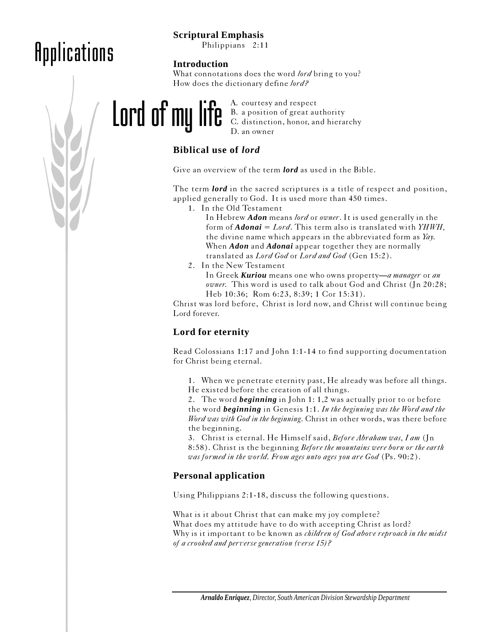## Applications

### **Scriptural Emphasis**

Philippians 2:11

#### **Introduction**

What connotations does the word lord bring to you? How does the dictionary define lord?



A. courtesy and respect B. a position of great authority C. distinction, honor, and hierarchy D. an owner

### **Biblical use of** *lord*

Give an overview of the term *lord* as used in the Bible.

The term *lord* in the sacred scriptures is a title of respect and position, applied generally to God. It is used more than 450 times.

1. In the Old Testament

In Hebrew *Adon* means lord or owner. It is used generally in the form of *Adonai* = Lord. This term also is translated with YHWH, the divine name which appears in the abbreviated form as  $\textit{Yay}$ . When *Adon* and *Adonai* appear together they are normally translated as Lord God or Lord and God (Gen 15:2).

2. In the New Testament

In Greek *Kuriou* means one who owns property—a manager or an owner. This word is used to talk about God and Christ (Jn 20:28; Heb 10:36; Rom 6:23, 8:39; 1 Cor 15:31).

Christ was lord before, Christ is lord now, and Christ will continue being Lord forever.

### **Lord for eternity**

Read Colossians 1:17 and John 1:1-14 to find supporting documentation for Christ being eternal.

1. When we penetrate eternity past, He already was before all things. He existed before the creation of all things.

2. The word *beginning* in John 1: 1,2 was actually prior to or before the word *beginning* in Genesis 1:1. In the beginning was the Word and the Word was with God in the beginning. Christ in other words, was there before the beginning.

3. Christ is eternal. He Himself said, *Before Abraham was*, I am (Jn) 8:58). Christ is the beginning Before the mountains were born or the earth was formed in the world. From ages unto ages you are God (Ps. 90:2).

### **Personal application**

Using Philippians 2:1-18, discuss the following questions.

What is it about Christ that can make my joy complete? What does my attitude have to do with accepting Christ as lord? Why is it important to be known as *children of God above reproach in the midst* of a crooked and perverse generation (verse 15)?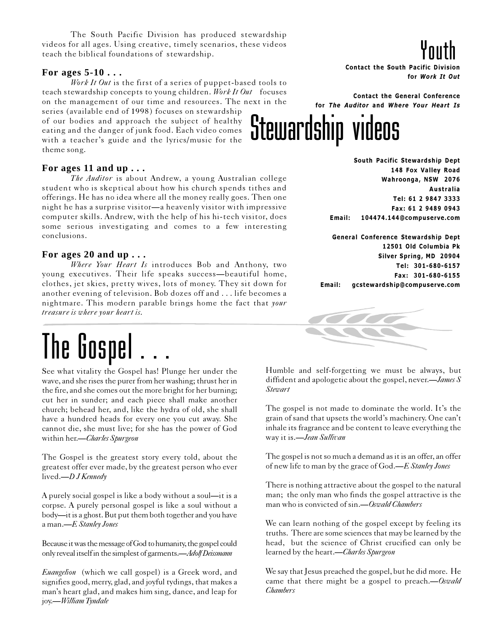The South Pacific Division has produced stewardship<br>
or all ages. Using creative, timely scenarios, these videos<br>
and the South Publical foundations of stewardship. videos for all ages. Using creative, timely scenarios, these videos teach the biblical foundations of stewardship.

#### **For ages 5-10 . . .**

Work It Out is the first of a series of puppet-based tools to teach stewardship concepts to young children. Work It Out focuses on the management of our time and resources. The next in the

series (available end of 1998) focuses on stewardship of our bodies and approach the subject of healthy eating and the danger of junk food. Each video comes with a teacher's guide and the lyrics/music for the theme song.

#### **For ages 11 and up . . .**

The Auditor is about Andrew, a young Australian college student who is skeptical about how his church spends tithes and offerings. He has no idea where all the money really goes. Then one night he has a surprise visitor—a heavenly visitor with impressive computer skills. Andrew, with the help of his hi-tech visitor, does some serious investigating and comes to a few interesting conclusions.

#### **For ages 20 and up . . .**

Where Your Heart Is introduces Bob and Anthony, two young executives. Their life speaks success—beautiful home, clothes, jet skies, pretty wives, lots of money. They sit down for another evening of television. Bob dozes off and . . . life becomes a nightmare. This modern parable brings home the fact that your treasure is where your heart is.

## The Gospel

See what vitality the Gospel has! Plunge her under the wave, and she rises the purer from her washing; thrust her in the fire, and she comes out the more bright for her burning; cut her in sunder; and each piece shall make another church; behead her, and, like the hydra of old, she shall have a hundred heads for every one you cut away. She cannot die, she must live; for she has the power of God within her.-Charles Spurgeon

The Gospel is the greatest story every told, about the greatest offer ever made, by the greatest person who ever lived.—*D J Kennedy* 

A purely social gospel is like a body without a soul—it is a corpse. A purely personal gospel is like a soul without a body—it is a ghost. But put them both together and you have a man.—E Stanley Jones

Because it was the message of God to humanity, the gospel could only reveal itself in the simplest of garments.—Adolf Deissmann

Euangelion (which we call gospel) is a Greek word, and signifies good, merry, glad, and joyful tydings, that makes a man's heart glad, and makes him sing, dance, and leap for joy.—William Tyndale

Contact the South Pacific Division for Work It Out Youth

Contact the General Conference for The Auditor and Where Your Heart Is

# Stewardship videos

South Pacific Stewardship Dept 148 Fox Valley Road Wahroonga, NSW 2076 Australia Tel: 61 2 9847 3333 Fax: 61 2 9489 0943 Email: 104474.144@compuserve.com

General Conference Stewardship Dept 12501 Old Columbia Pk Silver Spring, MD 20904 Tel: 301-680-6157 Fax: 301-680-6155 Email: gcstewardship@compuserve.com



Humble and self-forgetting we must be always, but diffident and apologetic about the gospel, never.—*James*  $S$ **Stewart** 

The gospel is not made to dominate the world. It's the grain of sand that upsets the world's machinery. One can't inhale its fragrance and be content to leave everything the way it is.—Jean Sullivan

The gospel is not so much a demand as it is an offer, an offer of new life to man by the grace of God.—E Stanley Jones

There is nothing attractive about the gospel to the natural man; the only man who finds the gospel attractive is the man who is convicted of sin.—Oswald Chambers

We can learn nothing of the gospel except by feeling its truths. There are some sciences that may be learned by the head, but the science of Christ crucified can only be learned by the heart.—Charles Spurgeon

We say that Jesus preached the gospel, but he did more. He came that there might be a gospel to preach.—Oswald **Chambers**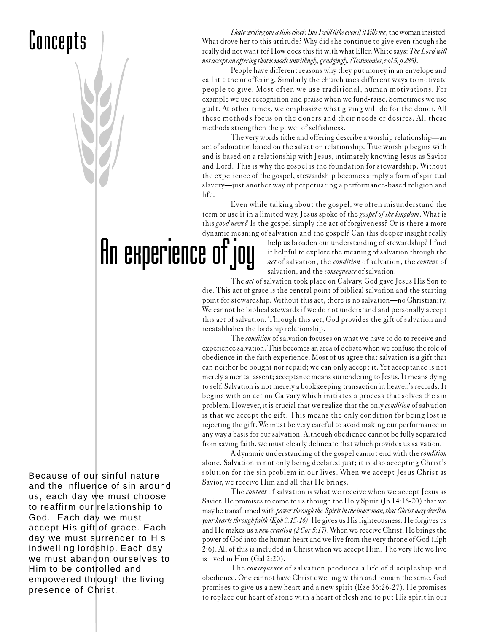*Thate writing out a tithe check. But I will tithe even if it kills me*, the woman insisted.<br>What drove her to this attitude? Why did she continue to give even though she<br>really did not want to? How does this fit with what What drove her to this attitude? Why did she continue to give even though she not accept an offering that is made unwillingly, grudgingly. (Testimonies, vol 5, p 285).

> People have different reasons why they put money in an envelope and call it tithe or offering. Similarly the church uses different ways to motivate people to give. Most often we use traditional, human motivations. For example we use recognition and praise when we fund-raise. Sometimes we use guilt. At other times, we emphasize what giving will do for the donor. All these methods focus on the donors and their needs or desires. All these methods strengthen the power of selfishness.

> The very words tithe and offering describe a worship relationship—an act of adoration based on the salvation relationship. True worship begins with and is based on a relationship with Jesus, intimately knowing Jesus as Savior and Lord. This is why the gospel is the foundation for stewardship. Without the experience of the gospel, stewardship becomes simply a form of spiritual slavery—just another way of perpetuating a performance-based religion and life.

> Even while talking about the gospel, we often misunderstand the term or use it in a limited way. Jesus spoke of the gospel of the kingdom. What is this good news? Is the gospel simply the act of forgiveness? Or is there a more dynamic meaning of salvation and the gospel? Can this deeper insight really

An experience of joy

help us broaden our understanding of stewardship? I find it helpful to explore the meaning of salvation through the act of salvation, the condition of salvation, the content of salvation, and the *consequence* of salvation.

The act of salvation took place on Calvary. God gave Jesus His Son to die. This act of grace is the central point of biblical salvation and the starting point for stewardship. Without this act, there is no salvation—no Christianity. We cannot be biblical stewards if we do not understand and personally accept this act of salvation. Through this act, God provides the gift of salvation and reestablishes the lordship relationship.

The condition of salvation focuses on what we have to do to receive and experience salvation. This becomes an area of debate when we confuse the role of obedience in the faith experience. Most of us agree that salvation is a gift that can neither be bought nor repaid; we can only accept it. Yet acceptance is not merely a mental assent; acceptance means surrendering to Jesus. It means dying to self. Salvation is not merely a bookkeeping transaction in heaven's records. It begins with an act on Calvary which initiates a process that solves the sin problem. However, it is crucial that we realize that the only condition of salvation is that we accept the gift. This means the only condition for being lost is rejecting the gift. We must be very careful to avoid making our performance in any way a basis for our salvation. Although obedience cannot be fully separated from saving faith, we must clearly delineate that which provides us salvation.

A dynamic understanding of the gospel cannot end with the condition alone. Salvation is not only being declared just; it is also accepting Christ's solution for the sin problem in our lives. When we accept Jesus Christ as Savior, we receive Him and all that He brings.

The *content* of salvation is what we receive when we accept Jesus as Savior. He promises to come to us through the Holy Spirit (Jn 14:16-20) that we may be transformed with power through the Spirit in the inner man, that Christ may dwell in your hearts through faith (Eph 3:15-16). He gives us His righteousness. He forgives us and He makes us a new creation (2 Cor 5:17). When we receive Christ, He brings the power of God into the human heart and we live from the very throne of God (Eph 2:6). All of this is included in Christ when we accept Him. The very life we live is lived in Him (Gal 2:20).

The *consequence* of salvation produces a life of discipleship and obedience. One cannot have Christ dwelling within and remain the same. God promises to give us a new heart and a new spirit (Eze 36:26-27). He promises to replace our heart of stone with a heart of flesh and to put His spirit in our

Because of our sinful nature and the influence of sin around us, each day we must choose to reaffirm our relationship to God. Each day we must accept His gift of grace. Each day we must surrender to His indwelling lordship. Each day we must abandon ourselves to Him to be controlled and empowered through the living presence of Christ.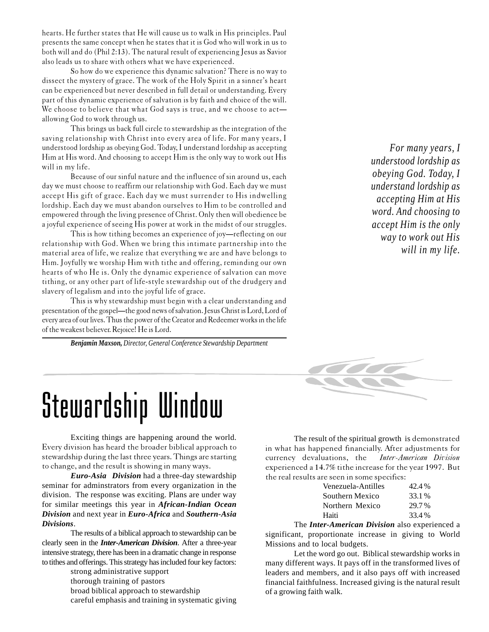hearts. He further states that He will cause us to walk in His principles. Paul presents the same concept when he states that it is God who will work in us to both will and do (Phil 2:13). The natural result of experiencing Jesus as Savior also leads us to share with others what we have experienced.

So how do we experience this dynamic salvation? There is no way to dissect the mystery of grace. The work of the Holy Spirit in a sinner's heart can be experienced but never described in full detail or understanding. Every part of this dynamic experience of salvation is by faith and choice of the will. We choose to believe that what God says is true, and we choose to act allowing God to work through us.

This brings us back full circle to stewardship as the integration of the saving relationship with Christ into every area of life. For many years, I understood lordship as obeying God. Today, I understand lordship as accepting Him at His word. And choosing to accept Him is the only way to work out His will in my life.

Because of our sinful nature and the influence of sin around us, each day we must choose to reaffirm our relationship with God. Each day we must accept His gift of grace. Each day we must surrender to His indwelling lordship. Each day we must abandon ourselves to Him to be controlled and empowered through the living presence of Christ. Only then will obedience be a joyful experience of seeing His power at work in the midst of our struggles.

This is how tithing becomes an experience of joy—reflecting on our relationship with God. When we bring this intimate partnership into the material area of life, we realize that everything we are and have belongs to Him. Joyfully we worship Him with tithe and offering, reminding our own hearts of who He is. Only the dynamic experience of salvation can move tithing, or any other part of life-style stewardship out of the drudgery and slavery of legalism and into the joyful life of grace.

This is why stewardship must begin with a clear understanding and presentation of the gospel—the good news of salvation. Jesus Christ is Lord, Lord of every area of our lives. Thus the power of the Creator and Redeemer works in the life of the weakest believer. Rejoice! He is Lord.

*Benjamin Maxson, Director, General Conference Stewardship Department*

*For many years, I understood lordship as obeying God. Today, I understand lordship as accepting Him at His word. And choosing to accept Him is the only way to work out His will in my life.*



# Stewardship Window

Exciting things are happening around the world. Every division has heard the broader biblical approach to stewardship during the last three years. Things are starting to change, and the result is showing in many ways.

*Euro-Asia Division* had a three-day stewardship seminar for adminstrators from every organization in the division. The response was exciting. Plans are under way for similar meetings this year in *African-Indian Ocean Division* and next year in *Euro-Africa* and *Southern-Asia Divisions*.

The results of a biblical approach to stewardship can be clearly seen in the *Inter-American Division*. After a three-year intensive strategy, there has been in a dramatic change in response to tithes and offerings. This strategy has included four key factors:

> strong administrative support thorough training of pastors broad biblical approach to stewardship careful emphasis and training in systematic giving

The result of the spiritual growth is demonstrated in what has happened financially. After adjustments for currency devaluations, the Inter-American Division experienced a 14.7% tithe increase for the year 1997. But the real results are seen in some specifics:

| Venezuela-Antilles | 42.4%  |
|--------------------|--------|
| Southern Mexico    | 33.1 % |
| Northern Mexico    | 29.7%  |
| Haiti              | 33.4 % |
|                    |        |

The *Inter-American Division* also experienced a significant, proportionate increase in giving to World Missions and to local budgets.

Let the word go out. Biblical stewardship works in many different ways. It pays off in the transformed lives of leaders and members, and it also pays off with increased financial faithfulness. Increased giving is the natural result of a growing faith walk.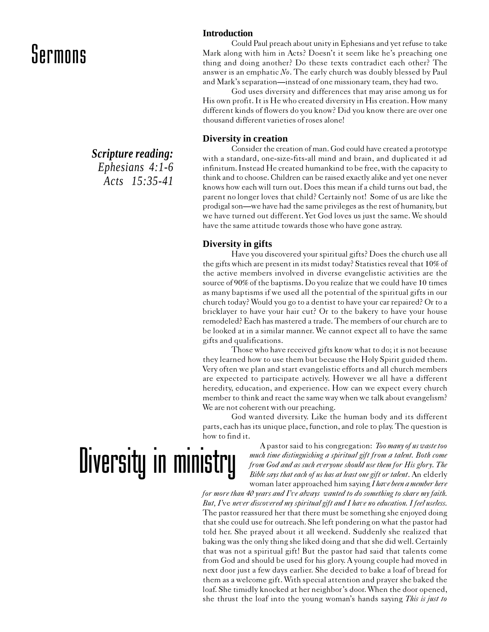*Scripture reading: Ephesians 4:1-6 Acts 15:35-41*

#### **Introduction**

Could Paul preach about unity in Ephesians and yet refuse to take Mark along with him in Acts? Doesn't it seem like he's preaching one thing and doing another? Do these texts contradict each other? The answer is an emphatic  $No$ . The early church was doubly blessed by Paul and Mark's separation—instead of one missionary team, they had two.

God uses diversity and differences that may arise among us for His own profit. It is He who created diversity in His creation. How many different kinds of flowers do you know? Did you know there are over one thousand different varieties of roses alone!

#### **Diversity in creation**

Consider the creation of man. God could have created a prototype with a standard, one-size-fits-all mind and brain, and duplicated it ad infinitum. Instead He created humankind to be free, with the capacity to think and to choose. Children can be raised exactly alike and yet one never knows how each will turn out. Does this mean if a child turns out bad, the parent no longer loves that child? Certainly not! Some of us are like the prodigal son—we have had the same privileges as the rest of humanity, but we have turned out different. Yet God loves us just the same. We should have the same attitude towards those who have gone astray.

#### **Diversity in gifts**

Have you discovered your spiritual gifts? Does the church use all the gifts which are present in its midst today? Statistics reveal that 10% of the active members involved in diverse evangelistic activities are the source of 90% of the baptisms. Do you realize that we could have 10 times as many baptisms if we used all the potential of the spiritual gifts in our church today? Would you go to a dentist to have your car repaired? Or to a bricklayer to have your hair cut? Or to the bakery to have your house remodeled? Each has mastered a trade. The members of our church are to be looked at in a similar manner. We cannot expect all to have the same gifts and qualifications.

Those who have received gifts know what to do; it is not because they learned how to use them but because the Holy Spirit guided them. Very often we plan and start evangelistic efforts and all church members are expected to participate actively. However we all have a different heredity, education, and experience. How can we expect every church member to think and react the same way when we talk about evangelism? We are not coherent with our preaching.

God wanted diversity. Like the human body and its different parts, each has its unique place, function, and role to play. The question is how to find it.

# Diversity in ministry

A pastor said to his congregation: Too many of us waste too much time distinguishing a spiritual gift from a talent. Both come from God and as such everyone should use them for His glory. The Bible says that each of us has at least one gift or talent. An elderly woman later approached him saying I have been a member here

for more than 40 years and I've always wanted to do something to share my faith. But, I've never discovered my spiritual gift and I have no education. I feel useless. The pastor reassured her that there must be something she enjoyed doing that she could use for outreach. She left pondering on what the pastor had told her. She prayed about it all weekend. Suddenly she realized that baking was the only thing she liked doing and that she did well. Certainly that was not a spiritual gift! But the pastor had said that talents come from God and should be used for his glory. A young couple had moved in next door just a few days earlier. She decided to bake a loaf of bread for them as a welcome gift. With special attention and prayer she baked the loaf. She timidly knocked at her neighbor's door. When the door opened, she thrust the loaf into the young woman's hands saying This is just to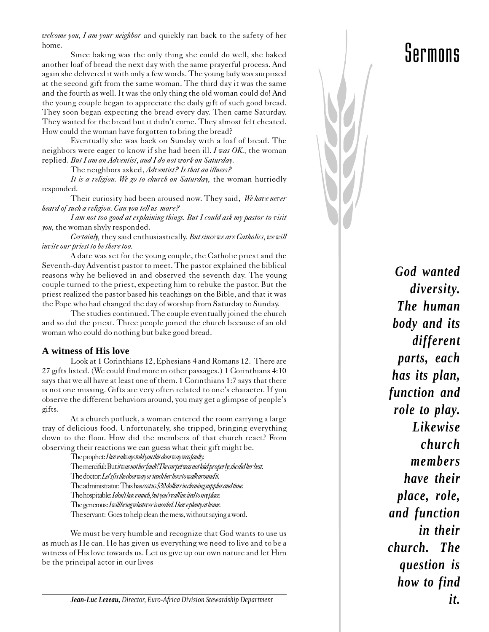welcome you, I am your neighbor and quickly ran back to the safety of her home.

Since baking was the only thing she could do well, she baked another loaf of bread the next day with the same prayerful process. And again she delivered it with only a few words. The young lady was surprised at the second gift from the same woman. The third day it was the same and the fourth as well. It was the only thing the old woman could do! And the young couple began to appreciate the daily gift of such good bread. They soon began expecting the bread every day. Then came Saturday. They waited for the bread but it didn't come. They almost felt cheated. How could the woman have forgotten to bring the bread?

Eventually she was back on Sunday with a loaf of bread. The neighbors were eager to know if she had been ill. I was OK, the woman replied. But I am an Adventist, and I do not work on Saturday.

The neighbors asked, Adventist? Is that an illness?

It is a religion. We go to church on Saturday, the woman hurriedly responded.

Their curiosity had been aroused now. They said, We have never heard of such a religion. Can you tell us more?

I am not too good at explaining things. But I could ask my pastor to visit you, the woman shyly responded.

Certainly, they said enthusiastically. But since we are Catholics, we will invite our priest to be there too.

A date was set for the young couple, the Catholic priest and the Seventh-day Adventist pastor to meet. The pastor explained the biblical reasons why he believed in and observed the seventh day. The young couple turned to the priest, expecting him to rebuke the pastor. But the priest realized the pastor based his teachings on the Bible, and that it was the Pope who had changed the day of worship from Saturday to Sunday.

The studies continued. The couple eventually joined the church and so did the priest. Three people joined the church because of an old woman who could do nothing but bake good bread.

#### **A witness of His love**

Look at 1 Corinthians 12, Ephesians 4 and Romans 12. There are 27 gifts listed. (We could find more in other passages.) 1 Corinthians 4:10 says that we all have at least one of them. 1 Corinthians 1:7 says that there is not one missing. Gifts are very often related to one's character. If you observe the different behaviors around, you may get a glimpse of people's gifts.

At a church potluck, a woman entered the room carrying a large tray of delicious food. Unfortunately, she tripped, bringing everything down to the floor. How did the members of that church react? From observing their reactions we can guess what their gift might be.

> The prophet: I have always told you this doorway was faulty. The merciful: But it was not her fault! The carpet was not laid properly; she did her best. The doctor: Let's fix the doorway or teach her how to walk around it. The administrator: This has cost us \$30 dollars in cleaning supplies and time. The hospitable: Idon't have much, but you're all invited to my place. The generous: I will bring whatever is needed. I have plenty at home. The servant: Goes to help clean the mess, without saying a word.

We must be very humble and recognize that God wants to use us as much as He can. He has given us everything we need to live and to be a witness of His love towards us. Let us give up our own nature and let Him be the principal actor in our lives

*God wanted diversity. The human body and its different parts, each has its plan, function and role to play. Likewise church members have their place, role, and function in their church. The question is how to find it.*

*Jean-Luc Lezeau, Director, Euro-Africa Division Stewardship Department*

## Sermons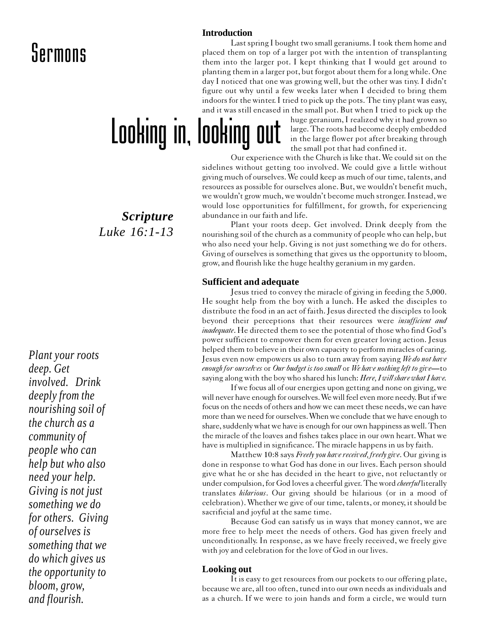#### **Introduction**

Last spring I bought two small geraniums. I took them home and placed them on top of a larger pot with the intention of transplanting them into the larger pot. I kept thinking that I would get around to planting them in a larger pot, but forgot about them for a long while. One day I noticed that one was growing well, but the other was tiny. I didn't figure out why until a few weeks later when I decided to bring them indoors for the winter. I tried to pick up the pots. The tiny plant was easy, and it was still encased in the small pot. But when I tried to pick up the

Looking in, looking out

huge geranium, I realized why it had grown so large. The roots had become deeply embedded in the large flower pot after breaking through the small pot that had confined it.

Our experience with the Church is like that. We could sit on the sidelines without getting too involved. We could give a little without giving much of ourselves. We could keep as much of our time, talents, and resources as possible for ourselves alone. But, we wouldn't benefit much, we wouldn't grow much, we wouldn't become much stronger. Instead, we would lose opportunities for fulfillment, for growth, for experiencing abundance in our faith and life.

Plant your roots deep. Get involved. Drink deeply from the nourishing soil of the church as a community of people who can help, but who also need your help. Giving is not just something we do for others. Giving of ourselves is something that gives us the opportunity to bloom, grow, and flourish like the huge healthy geranium in my garden.

#### **Sufficient and adequate**

Jesus tried to convey the miracle of giving in feeding the 5,000. He sought help from the boy with a lunch. He asked the disciples to distribute the food in an act of faith. Jesus directed the disciples to look beyond their perceptions that their resources were *insufficient and* inadequate. He directed them to see the potential of those who find God's power sufficient to empower them for even greater loving action. Jesus helped them to believe in their own capacity to perform miracles of caring. Jesus even now empowers us also to turn away from saying We do not have enough for ourselves or Our budget is too small or We have nothing left to give—to saying along with the boy who shared his lunch: Here, I will share what I have.

If we focus all of our energies upon getting and none on giving, we will never have enough for ourselves. We will feel even more needy. But if we focus on the needs of others and how we can meet these needs, we can have more than we need for ourselves. When we conclude that we have enough to share, suddenly what we have is enough for our own happiness as well. Then the miracle of the loaves and fishes takes place in our own heart. What we have is multiplied in significance. The miracle happens in us by faith.

Matthew 10:8 says Freely you have received, freely give. Our giving is done in response to what God has done in our lives. Each person should give what he or she has decided in the heart to give, not reluctantly or under compulsion, for God loves a cheerful giver. The word *cheerful* literally translates hilarious. Our giving should be hilarious (or in a mood of celebration). Whether we give of our time, talents, or money, it should be sacrificial and joyful at the same time.

Because God can satisfy us in ways that money cannot, we are more free to help meet the needs of others. God has given freely and unconditionally. In response, as we have freely received, we freely give with joy and celebration for the love of God in our lives.

#### **Looking out**

It is easy to get resources from our pockets to our offering plate, because we are, all too often, tuned into our own needs as individuals and as a church. If we were to join hands and form a circle, we would turn

*Scripture Luke 16:1-13*

*Plant your roots deep. Get involved. Drink deeply from the nourishing soil of the church as a community of people who can help but who also need your help. Giving is not just something we do for others. Giving of ourselves is something that we do which gives us the opportunity to bloom, grow, and flourish.*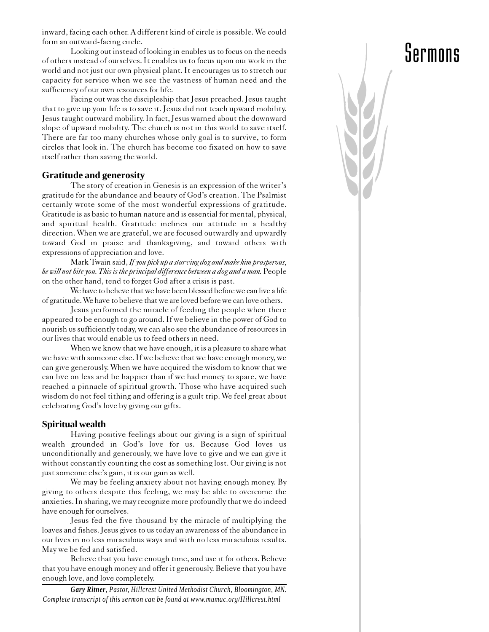inward, facing each other. A different kind of circle is possible. We could form an outward-facing circle.

Looking out instead of looking in enables us to focus on the needs of others instead of ourselves. It enables us to focus upon our work in the world and not just our own physical plant. It encourages us to stretch our capacity for service when we see the vastness of human need and the sufficiency of our own resources for life.

Facing out was the discipleship that Jesus preached. Jesus taught that to give up your life is to save it. Jesus did not teach upward mobility. Jesus taught outward mobility. In fact, Jesus warned about the downward slope of upward mobility. The church is not in this world to save itself. There are far too many churches whose only goal is to survive, to form circles that look in. The church has become too fixated on how to save itself rather than saving the world.

#### **Gratitude and generosity**

The story of creation in Genesis is an expression of the writer's gratitude for the abundance and beauty of God's creation. The Psalmist certainly wrote some of the most wonderful expressions of gratitude. Gratitude is as basic to human nature and is essential for mental, physical, and spiritual health. Gratitude inclines our attitude in a healthy direction. When we are grateful, we are focused outwardly and upwardly toward God in praise and thanksgiving, and toward others with expressions of appreciation and love.

Mark Twain said, If you pick up a starving dog and make him prosperous, he will not bite you. This is the principal difference between a dog and a man. People on the other hand, tend to forget God after a crisis is past.

We have to believe that we have been blessed before we can live a life of gratitude. We have to believe that we are loved before we can love others.

Jesus performed the miracle of feeding the people when there appeared to be enough to go around. If we believe in the power of God to nourish us sufficiently today, we can also see the abundance of resources in our lives that would enable us to feed others in need.

When we know that we have enough, it is a pleasure to share what we have with someone else. If we believe that we have enough money, we can give generously. When we have acquired the wisdom to know that we can live on less and be happier than if we had money to spare, we have reached a pinnacle of spiritual growth. Those who have acquired such wisdom do not feel tithing and offering is a guilt trip. We feel great about celebrating God's love by giving our gifts.

#### **Spiritual wealth**

Having positive feelings about our giving is a sign of spiritual wealth grounded in God's love for us. Because God loves us unconditionally and generously, we have love to give and we can give it without constantly counting the cost as something lost. Our giving is not just someone else's gain, it is our gain as well.

We may be feeling anxiety about not having enough money. By giving to others despite this feeling, we may be able to overcome the anxieties. In sharing, we may recognize more profoundly that we do indeed have enough for ourselves.

Jesus fed the five thousand by the miracle of multiplying the loaves and fishes. Jesus gives to us today an awareness of the abundance in our lives in no less miraculous ways and with no less miraculous results. May we be fed and satisfied.

Believe that you have enough time, and use it for others. Believe that you have enough money and offer it generously. Believe that you have enough love, and love completely.

*Gary Ritner, Pastor, Hillcrest United Methodist Church, Bloomington, MN. Complete transcript of this sermon can be found at www.mumac.org/Hillcrest.html*

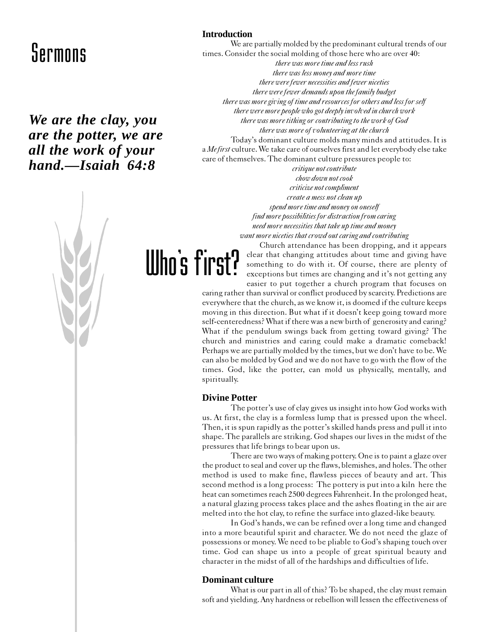### *We are the clay, you are the potter, we are all the work of your hand.—Isaiah 64:8*



#### **Introduction**

We are partially molded by the predominant cultural trends of our times. Consider the social molding of those here who are over 40: there was more time and less rush there was less money and more time there were fewer necessities and fewer niceties there were fewer demands upon the family budget there was more giving of time and resources for others and less for self there were more people who got deeply involved in church work there was more tithing or contributing to the work of God there was more of volunteering at the church Today's dominant culture molds many minds and attitudes. It is a Mefirst culture. We take care of ourselves first and let everybody else take care of themselves. The dominant culture pressures people to:

critique not contribute chow down not cook criticize not compliment create a mess not clean up spend more time and money on oneself find more possibilities for distraction from caring need more necessities that take up time and money want more niceties that crowd out caring and contributing

Church attendance has been dropping, and it appears clear that changing attitudes about time and giving have something to do with it. Of course, there are plenty of exceptions but times are changing and it's not getting any easier to put together a church program that focuses on

caring rather than survival or conflict produced by scarcity. Predictions are everywhere that the church, as we know it, is doomed if the culture keeps moving in this direction. But what if it doesn't keep going toward more self-centeredness? What if there was a new birth of generosity and caring? What if the pendulum swings back from getting toward giving? The church and ministries and caring could make a dramatic comeback! Perhaps we are partially molded by the times, but we don't have to be. We can also be molded by God and we do not have to go with the flow of the times. God, like the potter, can mold us physically, mentally, and spiritually.

#### **Divine Potter**

Who's first?

The potter's use of clay gives us insight into how God works with us. At first, the clay is a formless lump that is pressed upon the wheel. Then, it is spun rapidly as the potter's skilled hands press and pull it into shape. The parallels are striking. God shapes our lives in the midst of the pressures that life brings to bear upon us.

There are two ways of making pottery. One is to paint a glaze over the product to seal and cover up the flaws, blemishes, and holes. The other method is used to make fine, flawless pieces of beauty and art. This second method is a long process: The pottery is put into a kiln here the heat can sometimes reach 2500 degrees Fahrenheit. In the prolonged heat, a natural glazing process takes place and the ashes floating in the air are melted into the hot clay, to refine the surface into glazed-like beauty.

In God's hands, we can be refined over a long time and changed into a more beautiful spirit and character. We do not need the glaze of possessions or money. We need to be pliable to God's shaping touch over time. God can shape us into a people of great spiritual beauty and character in the midst of all of the hardships and difficulties of life.

#### **Dominant culture**

What is our part in all of this? To be shaped, the clay must remain soft and yielding. Any hardness or rebellion will lessen the effectiveness of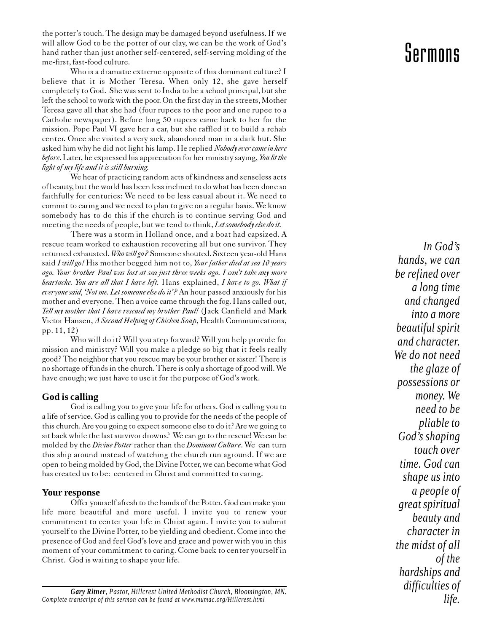the potter's touch. The design may be damaged beyond usefulness. If we will allow God to be the potter of our clay, we can be the work of God's hand rather than just another self-centered, self-serving molding of the me-first, fast-food culture.

Who is a dramatic extreme opposite of this dominant culture? I believe that it is Mother Teresa. When only 12, she gave herself completely to God. She was sent to India to be a school principal, but she left the school to work with the poor. On the first day in the streets, Mother Teresa gave all that she had (four rupees to the poor and one rupee to a Catholic newspaper). Before long 50 rupees came back to her for the mission. Pope Paul VI gave her a car, but she raffled it to build a rehab center. Once she visited a very sick, abandoned man in a dark hut. She asked him why he did not light his lamp. He replied Nobody ever came in here before. Later, he expressed his appreciation for her ministry saying, You lit the light of my life and it is still burning.

We hear of practicing random acts of kindness and senseless acts of beauty, but the world has been less inclined to do what has been done so faithfully for centuries: We need to be less casual about it. We need to commit to caring and we need to plan to give on a regular basis. We know somebody has to do this if the church is to continue serving God and meeting the needs of people, but we tend to think, Let somebody else do it.

There was a storm in Holland once, and a boat had capsized. A rescue team worked to exhaustion recovering all but one survivor. They returned exhausted. Who will go? Someone shouted. Sixteen year-old Hans said I will go! His mother begged him not to, Your father died at sea 10 years ago. Your brother Paul was lost at sea just three weeks ago. I can't take any more heartache. You are all that I have left. Hans explained, I have to go. What if everyone said, 'Not me. Let someone else do it'? An hour passed anxiously for his mother and everyone. Then a voice came through the fog. Hans called out, Tell my mother that I have rescued my brother Paul! (Jack Canfield and Mark Victor Hansen, A Second Helping of Chicken Soup, Health Communications, pp. 11, 12)

Who will do it? Will you step forward? Will you help provide for mission and ministry? Will you make a pledge so big that it feels really good? The neighbor that you rescue may be your brother or sister! There is no shortage of funds in the church. There is only a shortage of good will. We have enough; we just have to use it for the purpose of God's work.

#### **God is calling**

God is calling you to give your life for others. God is calling you to a life of service. God is calling you to provide for the needs of the people of this church. Are you going to expect someone else to do it? Are we going to sit back while the last survivor drowns? We can go to the rescue! We can be molded by the Divine Potter rather than the Dominant Culture. We can turn this ship around instead of watching the church run aground. If we are open to being molded by God, the Divine Potter, we can become what God has created us to be: centered in Christ and committed to caring.

#### **Your response**

Offer yourself afresh to the hands of the Potter. God can make your life more beautiful and more useful. I invite you to renew your commitment to center your life in Christ again. I invite you to submit yourself to the Divine Potter, to be yielding and obedient. Come into the presence of God and feel God's love and grace and power with you in this moment of your commitment to caring. Come back to center yourself in Christ. God is waiting to shape your life.

### Sermons

*In God's hands, we can be refined over a long time and changed into a more beautiful spirit and character. We do not need the glaze of possessions or money. We need to be pliable to God's shaping touch over time. God can shape us into a people of great spiritual beauty and character in the midst of all of the hardships and difficulties of life.*

*Gary Ritner, Pastor, Hillcrest United Methodist Church, Bloomington, MN. Complete transcript of this sermon can be found at www.mumac.org/Hillcrest.html*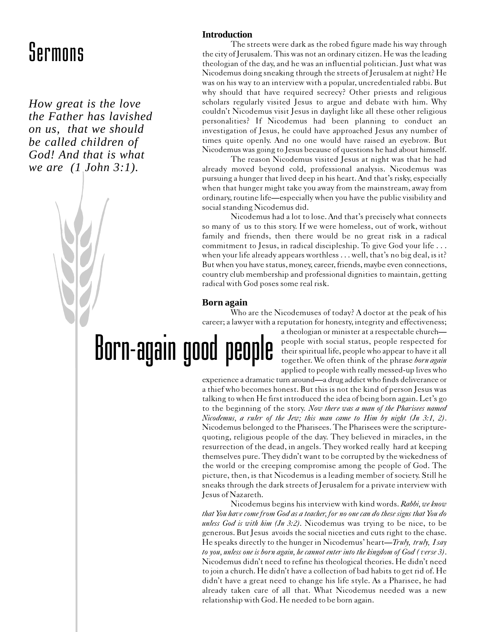*How great is the love the Father has lavished on us, that we should be called children of God! And that is what we are (1 John 3:1).*

#### **Introduction**

The streets were dark as the robed figure made his way through the city of Jerusalem. This was not an ordinary citizen. He was the leading theologian of the day, and he was an influential politician. Just what was Nicodemus doing sneaking through the streets of Jerusalem at night? He was on his way to an interview with a popular, uncredentialed rabbi. But why should that have required secrecy? Other priests and religious scholars regularly visited Jesus to argue and debate with him. Why couldn't Nicodemus visit Jesus in daylight like all these other religious personalities? If Nicodemus had been planning to conduct an investigation of Jesus, he could have approached Jesus any number of times quite openly. And no one would have raised an eyebrow. But Nicodemus was going to Jesus because of questions he had about himself.

The reason Nicodemus visited Jesus at night was that he had already moved beyond cold, professional analysis. Nicodemus was pursuing a hunger that lived deep in his heart. And that's risky, especially when that hunger might take you away from the mainstream, away from ordinary, routine life—especially when you have the public visibility and social standing Nicodemus did.

Nicodemus had a lot to lose. And that's precisely what connects so many of us to this story. If we were homeless, out of work, without family and friends, then there would be no great risk in a radical commitment to Jesus, in radical discipleship. To give God your life . . . when your life already appears worthless . . . well, that's no big deal, is it? But when you have status, money, career, friends, maybe even connections, country club membership and professional dignities to maintain, getting radical with God poses some real risk.

#### **Born again**

Who are the Nicodemuses of today? A doctor at the peak of his career; a lawyer with a reputation for honesty, integrity and effectiveness;

Born-again good people

a theologian or minister at a respectable church people with social status, people respected for their spiritual life, people who appear to have it all together. We often think of the phrase born again applied to people with really messed-up lives who

experience a dramatic turn around—a drug addict who finds deliverance or a thief who becomes honest. But this is not the kind of person Jesus was talking to when He first introduced the idea of being born again. Let's go to the beginning of the story. Now there was a man of the Pharisees named Nicodemus, a ruler of the Jew; this man came to Him by night (Jn 3:1, 2). Nicodemus belonged to the Pharisees. The Pharisees were the scripturequoting, religious people of the day. They believed in miracles, in the resurrection of the dead, in angels. They worked really hard at keeping themselves pure. They didn't want to be corrupted by the wickedness of the world or the creeping compromise among the people of God. The picture, then, is that Nicodemus is a leading member of society. Still he sneaks through the dark streets of Jerusalem for a private interview with Jesus of Nazareth.

Nicodemus begins his interview with kind words. Rabbi, we know that You have come from God as a teacher, for no one can do these signs that You do unless God is with him  $(Im 3:2)$ . Nicodemus was trying to be nice, to be generous. But Jesus avoids the social niceties and cuts right to the chase. He speaks directly to the hunger in Nicodemus' heart—Truly, truly, I say to you, unless one is born again, he cannot enter into the kingdom of God ( verse 3). Nicodemus didn't need to refine his theological theories. He didn't need to join a church. He didn't have a collection of bad habits to get rid of. He didn't have a great need to change his life style. As a Pharisee, he had already taken care of all that. What Nicodemus needed was a new relationship with God. He needed to be born again.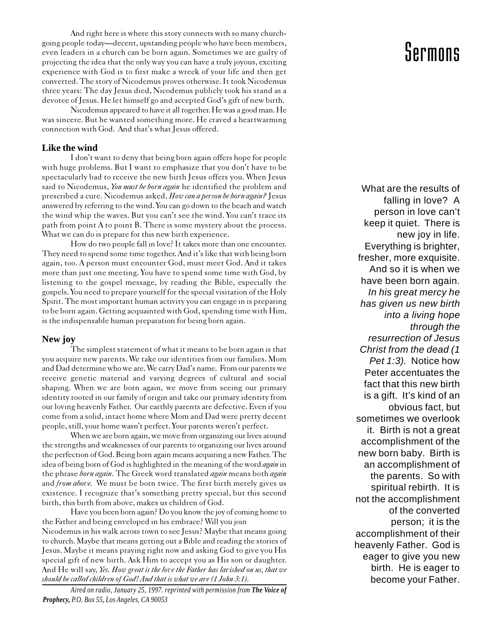And right here is where this story connects with so many churchgoing people today—decent, upstanding people who have been members, even leaders in a church can be born again. Sometimes we are guilty of projecting the idea that the only way you can have a truly joyous, exciting experience with God is to first make a wreck of your life and then get converted. The story of Nicodemus proves otherwise. It took Nicodemus three years: The day Jesus died, Nicodemus publicly took his stand as a devotee of Jesus. He let himself go and accepted God's gift of new birth.

Nicodemus appeared to have it all together. He was a good man. He was sincere. But he wanted something more. He craved a heartwarming connection with God. And that's what Jesus offered.

#### **Like the wind**

I don't want to deny that being born again offers hope for people with huge problems. But I want to emphasize that you don't have to be spectacularly bad to receive the new birth Jesus offers you. When Jesus said to Nicodemus, You must be born again he identified the problem and prescribed a cure. Nicodemus asked, How can a person be born again? Jesus answered by referring to the wind. You can go down to the beach and watch the wind whip the waves. But you can't see the wind. You can't trace its path from point A to point B. There is some mystery about the process. What we can do is prepare for this new birth experience.

How do two people fall in love? It takes more than one encounter. They need to spend some time together. And it's like that with being born again, too. A person must encounter God, must meet God. And it takes more than just one meeting. You have to spend some time with God, by listening to the gospel message, by reading the Bible, especially the gospels. You need to prepare yourself for the special visitation of the Holy Spirit. The most important human activity you can engage in is preparing to be born again. Getting acquainted with God, spending time with Him, is the indispensable human preparation for being born again.

#### **New joy**

The simplest statement of what it means to be born again is that you acquire new parents. We take our identities from our families. Mom and Dad determine who we are. We carry Dad's name. From our parents we receive genetic material and varying degrees of cultural and social shaping. When we are born again, we move from seeing our primary identity rooted in our family of origin and take our primary identity from our loving heavenly Father. Our earthly parents are defective. Even if you come from a solid, intact home where Mom and Dad were pretty decent people, still, your home wasn't perfect. Your parents weren't perfect.

When we are born again, we move from organizing our lives around the strengths and weaknesses of our parents to organizing our lives around the perfection of God. Being born again means acquiring a new Father. The idea of being born of God is highlighted in the meaning of the word *again* in the phrase born again. The Greek word translated again means both again and from above. We must be born twice. The first birth merely gives us existence. I recognize that's something pretty special, but this second birth, this birth from above, makes us children of God.

Have you been born again? Do you know the joy of coming home to the Father and being enveloped in his embrace? Will you join Nicodemus in his walk across town to see Jesus? Maybe that means going to church. Maybe that means getting out a Bible and reading the stories of Jesus. Maybe it means praying right now and asking God to give you His special gift of new birth. Ask Him to accept you as His son or daughter. And He will say, Yes. How great is the love the Father has lavished on us, that we should be called children of God! And that is what we are (1 John 3:1).

*Aired on radio, January 25, 1997. reprinted with permission from The Voice of Prophecy, P.O. Box 55, Los Angeles, CA 90053*

### Sermons

What are the results of falling in love? A person in love can't keep it quiet. There is new joy in life. Everything is brighter, fresher, more exquisite. And so it is when we have been born again. In his great mercy he has given us new birth into a living hope through the resurrection of Jesus Christ from the dead (1 Pet 1:3). Notice how Peter accentuates the fact that this new birth is a gift. It's kind of an obvious fact, but sometimes we overlook it. Birth is not a great accomplishment of the new born baby. Birth is an accomplishment of the parents. So with spiritual rebirth. It is not the accomplishment of the converted person; it is the accomplishment of their heavenly Father. God is eager to give you new birth. He is eager to become your Father.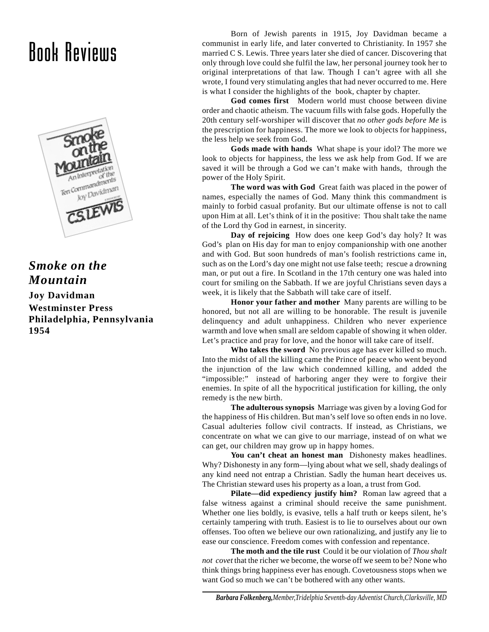## Book Reviews



### *Smoke on the Mountain*

**Joy Davidman Westminster Press Philadelphia, Pennsylvania 1954**

Born of Jewish parents in 1915, Joy Davidman became a communist in early life, and later converted to Christianity. In 1957 she married C S. Lewis. Three years later she died of cancer. Discovering that only through love could she fulfil the law, her personal journey took her to original interpretations of that law. Though I can't agree with all she wrote, I found very stimulating angles that had never occurred to me. Here is what I consider the highlights of the book, chapter by chapter.

**God comes first** Modern world must choose between divine order and chaotic atheism. The vacuum fills with false gods. Hopefully the 20th century self-worshiper will discover that *no other gods before Me* is the prescription for happiness. The more we look to objects for happiness, the less help we seek from God.

**Gods made with hands** What shape is your idol? The more we look to objects for happiness, the less we ask help from God. If we are saved it will be through a God we can't make with hands, through the power of the Holy Spirit.

**The word was with God** Great faith was placed in the power of names, especially the names of God. Many think this commandment is mainly to forbid casual profanity. But our ultimate offense is not to call upon Him at all. Let's think of it in the positive: Thou shalt take the name of the Lord thy God in earnest, in sincerity.

**Day of rejoicing** How does one keep God's day holy? It was God's plan on His day for man to enjoy companionship with one another and with God. But soon hundreds of man's foolish restrictions came in, such as on the Lord's day one might not use false teeth; rescue a drowning man, or put out a fire. In Scotland in the 17th century one was haled into court for smiling on the Sabbath. If we are joyful Christians seven days a week, it is likely that the Sabbath will take care of itself.

**Honor your father and mother** Many parents are willing to be honored, but not all are willing to be honorable. The result is juvenile delinquency and adult unhappiness. Children who never experience warmth and love when small are seldom capable of showing it when older. Let's practice and pray for love, and the honor will take care of itself.

**Who takes the sword** No previous age has ever killed so much. Into the midst of all the killing came the Prince of peace who went beyond the injunction of the law which condemned killing, and added the "impossible:" instead of harboring anger they were to forgive their enemies. In spite of all the hypocritical justification for killing, the only remedy is the new birth.

**The adulterous synopsis** Marriage was given by a loving God for the happiness of His children. But man's self love so often ends in no love. Casual adulteries follow civil contracts. If instead, as Christians, we concentrate on what we can give to our marriage, instead of on what we can get, our children may grow up in happy homes.

**You can't cheat an honest man** Dishonesty makes headlines. Why? Dishonesty in any form—lying about what we sell, shady dealings of any kind need not entrap a Christian. Sadly the human heart deceives us. The Christian steward uses his property as a loan, a trust from God.

**Pilate—did expediency justify him?** Roman law agreed that a false witness against a criminal should receive the same punishment. Whether one lies boldly, is evasive, tells a half truth or keeps silent, he's certainly tampering with truth. Easiest is to lie to ourselves about our own offenses. Too often we believe our own rationalizing, and justify any lie to ease our conscience. Freedom comes with confession and repentance.

**The moth and the tile rust** Could it be our violation of *Thou shalt not covet* that the richer we become, the worse off we seem to be? None who think things bring happiness ever has enough. Covetousness stops when we want God so much we can't be bothered with any other wants.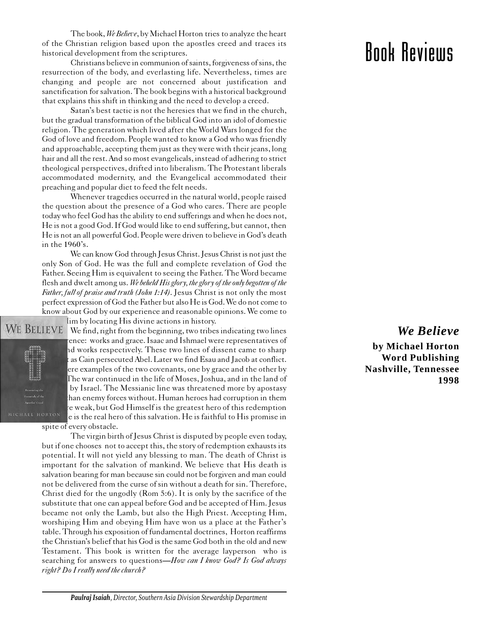The book, We Believe, by Michael Horton tries to analyze the heart of the Christian religion based upon the apostles creed and traces its historical development from the scriptures.

Christians believe in communion of saints, forgiveness of sins, the resurrection of the body, and everlasting life. Nevertheless, times are changing and people are not concerned about justification and sanctification for salvation. The book begins with a historical background that explains this shift in thinking and the need to develop a creed.

Satan's best tactic is not the heresies that we find in the church, but the gradual transformation of the biblical God into an idol of domestic religion. The generation which lived after the World Wars longed for the God of love and freedom. People wanted to know a God who was friendly and approachable, accepting them just as they were with their jeans, long hair and all the rest. And so most evangelicals, instead of adhering to strict theological perspectives, drifted into liberalism. The Protestant liberals accommodated modernity, and the Evangelical accommodated their preaching and popular diet to feed the felt needs.

Whenever tragedies occurred in the natural world, people raised the question about the presence of a God who cares. There are people today who feel God has the ability to end sufferings and when he does not, He is not a good God. If God would like to end suffering, but cannot, then He is not an all powerful God. People were driven to believe in God's death in the 1960's.

We can know God through Jesus Christ. Jesus Christ is not just the only Son of God. He was the full and complete revelation of God the Father. Seeing Him is equivalent to seeing the Father. The Word became flesh and dwelt among us. We beheld His glory, the glory of the only begotten of the Father, full of praise and truth (John 1:14). Jesus Christ is not only the most perfect expression of God the Father but also He is God. We do not come to know about God by our experience and reasonable opinions. We come to lim by locating His divine actions in history.



WE BELIEVE We find, right from the beginning, two tribes indicating two lines ence: works and grace. Isaac and Ishmael were representatives of id works respectively. These two lines of dissent came to sharp as Cain persecuted Abel. Later we find Esau and Jacob at conflict. ere examples of the two covenants, one by grace and the other by The war continued in the life of Moses, Joshua, and in the land of by Israel. The Messianic line was threatened more by apostasy han enemy forces without. Human heroes had corruption in them re weak, but God Himself is the greatest hero of this redemption<br>MICHAEL HORTON e is the real hero of this salvation. He is faithful to His promise in e is the real hero of this salvation. He is faithful to His promise in

spite of every obstacle.

The virgin birth of Jesus Christ is disputed by people even today, but if one chooses not to accept this, the story of redemption exhausts its potential. It will not yield any blessing to man. The death of Christ is important for the salvation of mankind. We believe that His death is salvation bearing for man because sin could not be forgiven and man could not be delivered from the curse of sin without a death for sin. Therefore, Christ died for the ungodly (Rom 5:6). It is only by the sacrifice of the substitute that one can appeal before God and be accepted of Him. Jesus became not only the Lamb, but also the High Priest. Accepting Him, worshiping Him and obeying Him have won us a place at the Father's table. Through his exposition of fundamental doctrines, Horton reaffirms the Christian's belief that his God is the same God both in the old and new Testament. This book is written for the average layperson who is searching for answers to questions—How can I know God? Is God always right? Do I really need the church?

### Book Reviews

### *We Believe*

**by Michael Horton Word Publishing Nashville, Tennessee 1998**